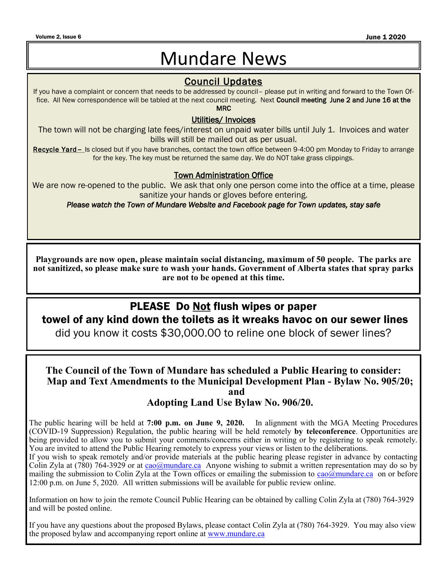#### Volume 2, Issue 6 June 1 2020  $\blacksquare$

## Mundare News

### Council Updates

If you have a complaint or concern that needs to be addressed by council– please put in writing and forward to the Town Office. All New correspondence will be tabled at the next council meeting. Next Council meeting June 2 and June 16 at the MRC

#### Utilities/ Invoices

The town will not be charging late fees/interest on unpaid water bills until July 1. Invoices and water bills will still be mailed out as per usual.

Recycle Yard– Is closed but if you have branches, contact the town office between 9-4:00 pm Monday to Friday to arrange for the key. The key must be returned the same day. We do NOT take grass clippings.

#### Town Administration Office

We are now re-opened to the public. We ask that only one person come into the office at a time, please sanitize your hands or gloves before entering.

*Please watch the Town of Mundare Website and Facebook page for Town updates, stay safe* 

**Playgrounds are now open, please maintain social distancing, maximum of 50 people. The parks are not sanitized, so please make sure to wash your hands. Government of Alberta states that spray parks are not to be opened at this time.** 

## PLEASE Do Not flush wipes or paper

towel of any kind down the toilets as it wreaks havoc on our sewer lines

did you know it costs \$30,000.00 to reline one block of sewer lines?

**The Council of the Town of Mundare has scheduled a Public Hearing to consider: Map and Text Amendments to the Municipal Development Plan - Bylaw No. 905/20; and**

**Adopting Land Use Bylaw No. 906/20.** 

The public hearing will be held at **7:00 p.m. on June 9, 2020.** In alignment with the MGA Meeting Procedures (COVID-19 Suppression) Regulation, the public hearing will be held remotely **by teleconference**. Opportunities are being provided to allow you to submit your comments/concerns either in writing or by registering to speak remotely. You are invited to attend the Public Hearing remotely to express your views or listen to the deliberations.

If you wish to speak remotely and/or provide materials at the public hearing please register in advance by contacting Colin Zyla at (780) 764-3929 or at  $\frac{ca_0(\alpha) mundare, ca}{ca}$  Anyone wishing to submit a written representation may do so by mailing the submission to Colin Zyla at the Town offices or emailing the submission to  $\frac{ca_0(\partial mundare, ca)}{ca_0(\partial mundare, ca)}$  on or before 12:00 p.m. on June 5, 2020. All written submissions will be available for public review online.

Information on how to join the remote Council Public Hearing can be obtained by calling Colin Zyla at (780) 764-3929 and will be posted online.

If you have any questions about the proposed Bylaws, please contact Colin Zyla at (780) 764-3929. You may also view the proposed bylaw and accompanying report online at [www.mundare.ca](http://www.mundare.ca)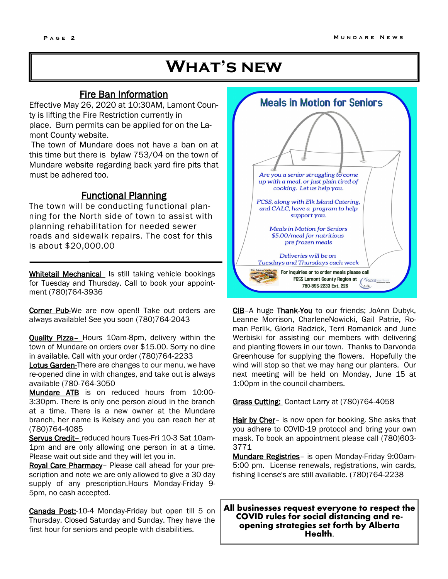## **What's new**

#### Fire Ban Information

Effective May 26, 2020 at 10:30AM, Lamont County is lifting the Fire Restriction currently in place. Burn permits can be applied for on the Lamont County website.

The town of Mundare does not have a ban on at this time but there is bylaw 753/04 on the town of Mundare website regarding back yard fire pits that must be adhered too.

#### Functional Planning

The town will be conducting functional planning for the North side of town to assist with planning rehabilitation for needed sewer roads and sidewalk repairs. The cost for this is about \$20,000.00

Whitetail Mechanical Is still taking vehicle bookings for Tuesday and Thursday. Call to book your appointment (780)764-3936

Corner Pub-We are now open!! Take out orders are always available! See you soon (780)764-2043

Quality Pizza– Hours 10am-8pm, delivery within the town of Mundare on orders over \$15.00. Sorry no dine in available. Call with your order (780)764-2233

Lotus Garden-There are changes to our menu, we have re-opened dine in with changes, and take out is always available (780-764-3050

Mundare ATB is on reduced hours from 10:00-3:30pm. There is only one person aloud in the branch at a time. There is a new owner at the Mundare branch, her name is Kelsey and you can reach her at (780)764-4085

Servus Credit- reduced hours Tues-Fri 10-3 Sat 10am-1pm and are only allowing one person in at a time. Please wait out side and they will let you in.

Royal Care Pharmacy– Please call ahead for your prescription and note we are only allowed to give a 30 day supply of any prescription.Hours Monday-Friday 9- 5pm, no cash accepted.

Canada Post:-10-4 Monday-Friday but open till 5 on Thursday. Closed Saturday and Sunday. They have the first hour for seniors and people with disabilities.



CIB–A huge Thank-You to our friends; JoAnn Dubyk, Leanne Morrison, CharleneNowicki, Gail Patrie, Roman Perlik, Gloria Radzick, Terri Romanick and June Werbiski for assisting our members with delivering and planting flowers in our town. Thanks to Darvonda Greenhouse for supplying the flowers. Hopefully the wind will stop so that we may hang our planters. Our next meeting will be held on Monday, June 15 at 1:00pm in the council chambers.

Grass Cutting: Contact Larry at (780)764-4058

Hair by Cher- is now open for booking. She asks that you adhere to COVID-19 protocol and bring your own mask. To book an appointment please call (780)603- 3771

Mundare Registries- is open Monday-Friday 9:00am-5:00 pm. License renewals, registrations, win cards, fishing license's are still available. (780)764-2238

**All businesses request everyone to respect the COVID rules for social distancing and reopening strategies set forth by Alberta Health.**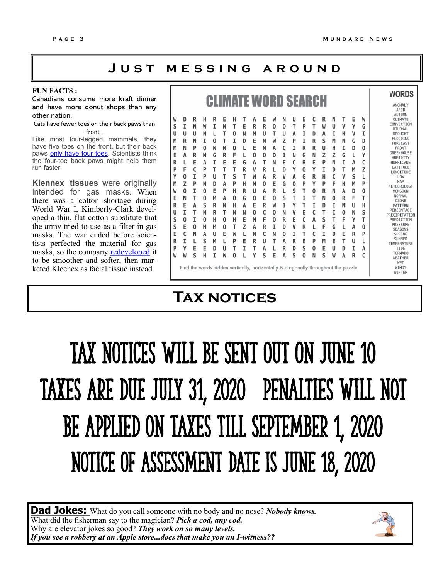## **J u s t m e s s i n g a r o u n d**

#### **FUN FACTS :**

Canadians consume more kraft dinner and have more donut shops than any other nation.

#### Cats have fewer toes on their back paws than front .

Like most four-legged mammals, they have five toes on the front, but their back paws [only have four toes.](http://scienceline.ucsb.edu/getkey.php?key=5456) Scientists think the four-toe back paws might help them run faster.

**Klennex tissues** were originally intended for gas masks. When there was a cotton shortage during World War I, Kimberly-Clark developed a thin, flat cotton substitute that the army tried to use as a filter in gas masks. The war ended before scientists perfected the material for gas masks, so the company **[redeveloped](http://www.cms.kimberly-clark.com/umbracoimages/UmbracoFileMedia/ProductEvol_FacialTissue_umbracoFile.pdf)** it to be smoother and softer, then marketed Kleenex as facial tissue instead.

|                                                                                                   | <b>CLIMATE WORD SEARCH</b>                                                        |                                                                                        |                                                                                        |                                                                                   |                                                                                        |                                                                                        |                                                                                   |                                                                                        |                                                                                        |                                                                                        |                                                                                        |                                                                                        |                                                                                        |                                                                                                   |                                                                                        |                                                                                        | <b>WORDS</b><br>ANOMALY<br>ARID                                                   |                                                                                   |                                                                                                   |                                                                                                                                                                                                                                                                                                                                                                        |
|---------------------------------------------------------------------------------------------------|-----------------------------------------------------------------------------------|----------------------------------------------------------------------------------------|----------------------------------------------------------------------------------------|-----------------------------------------------------------------------------------|----------------------------------------------------------------------------------------|----------------------------------------------------------------------------------------|-----------------------------------------------------------------------------------|----------------------------------------------------------------------------------------|----------------------------------------------------------------------------------------|----------------------------------------------------------------------------------------|----------------------------------------------------------------------------------------|----------------------------------------------------------------------------------------|----------------------------------------------------------------------------------------|---------------------------------------------------------------------------------------------------|----------------------------------------------------------------------------------------|----------------------------------------------------------------------------------------|-----------------------------------------------------------------------------------|-----------------------------------------------------------------------------------|---------------------------------------------------------------------------------------------------|------------------------------------------------------------------------------------------------------------------------------------------------------------------------------------------------------------------------------------------------------------------------------------------------------------------------------------------------------------------------|
| W<br>S<br>$\mathbf{U}$<br>M<br>M<br>E<br>R<br>P<br>Υ<br>M<br>W<br>E<br>R<br>U<br>S<br>S<br>E<br>R | D<br>I<br>U<br>R<br>Ν<br>Α<br>F<br>0<br>Z<br>0<br>N<br>E<br>I<br>0<br>E<br>C<br>I | R<br>N<br>U<br>N<br>P<br>R<br>E<br>c<br>I<br>P<br>I<br>т<br>Α<br>т<br>I<br>0<br>N<br>L | н<br>W<br>N<br>I<br>0<br>M<br>A<br>P<br>P<br>N<br>0<br>0<br>S<br>N<br>0<br>M<br>А<br>S | R<br>I<br>0<br>N<br>G<br>I<br>т<br>U<br>D<br>E<br>М<br>R<br>R<br>н<br>М<br>u<br>М | E<br>N<br>т<br>т<br>N<br>R<br>E<br>т<br>т<br>А<br>P<br>A<br>N<br>т<br>0<br>0<br>E<br>L | Н<br>т<br>0<br>I<br>0<br>F<br>E<br>т<br>s<br>P<br>н<br>0<br>н<br>N<br>н<br>т<br>W<br>P | т<br>E<br>N<br>D<br>L<br>G<br>R<br>т<br>н<br>R<br>G<br>А<br>N<br>E<br>Z<br>L<br>E | А<br>R<br>M<br>E<br>E<br>0<br>А<br>٧<br>W<br>М<br>U<br>0<br>E<br>0<br>М<br>A<br>N<br>R | E<br>R<br>U<br>N<br>N<br>0<br>т<br>R<br>Α<br>0<br>A<br>E<br>R<br>c<br>F<br>R<br>c<br>U | W<br>0<br>т<br>W<br>Α<br>D<br>N<br>L<br>R<br>Е<br>R<br>0<br>W<br>0<br>0<br>I<br>N<br>т | N<br>0<br>u<br>Z<br>C<br>I<br>E<br>D<br>V<br>G<br>L<br>S<br>I<br>N<br>R<br>D<br>0<br>А | u<br>т<br>A<br>P<br>I<br>Ν<br>c<br>γ<br>Α<br>0<br>s<br>т<br>γ<br>v<br>Е<br>v<br>I<br>R | E<br>P<br>I<br>I<br>R<br>G<br>R<br>0<br>G<br>P<br>т<br>I<br>т<br>E<br>c<br>R<br>т<br>E | C<br>т<br>D<br>R<br>R<br>N<br>E<br>γ<br>R<br>γ<br>$\mathbf{0}$<br>т<br>T<br>C<br>А<br>L<br>c<br>P | R<br>W<br>А<br>S<br>U<br>Z<br>P<br>I<br>н<br>P<br>R<br>N<br>D<br>т<br>S<br>F<br>I<br>M | N<br>U<br>I<br>М<br>н<br>Z<br>N<br>D<br>c<br>F<br>N<br>0<br>T<br>I<br>Т<br>G<br>D<br>E | V<br>Н<br>N<br>I<br>G<br>I<br>т<br>v<br>н<br>Α<br>R<br>M<br>0<br>F<br>L<br>F<br>т | E<br>γ<br>v<br>G<br>D<br>Α<br>M<br>s<br>M<br>D<br>F<br>u<br>N<br>γ<br>А<br>R<br>u | W<br>G<br>I<br>D<br>0<br>γ<br>c<br>z<br>L<br>P<br>0<br>T<br>н<br>s<br>т<br>$\mathbf{0}$<br>P<br>L | AUTUMN<br>CLIMATE<br>CONVECTION<br>DIURNAL<br><b>DROUGHT</b><br>FLOODING<br>FORECAST<br>FRONT<br>GREENHOUSE<br>HUMIDITY<br>HURRICANE<br>LATITUDE<br>LONGITUDE<br>LOW<br>MAP<br>METEOROLOGY<br><b>MONSOON</b><br>NORMAL<br>0Z0NE<br><b>PATTERN</b><br>PERCENTAGE<br>PRECIPITATION<br>PREDICTION<br>PRESSURE<br><b>SEASONS</b><br>SPRING<br><b>SUMMER</b><br>TEMPERATURE |
| P<br>W                                                                                            | Υ<br>W                                                                            | Е<br>s                                                                                 | E<br>н                                                                                 | D<br>I                                                                            | U<br>W                                                                                 | Τ<br>0                                                                                 | I                                                                                 | т<br>٧                                                                                 | A<br>s                                                                                 | L<br>E                                                                                 | R<br>А                                                                                 | D<br>s                                                                                 | S<br>O                                                                                 | 0<br>N                                                                                            | E<br>s                                                                                 | U<br>W                                                                                 | D<br>Α                                                                            | I<br>R                                                                            | Α<br>C                                                                                            | TIDE<br>T0RNAD0<br>WEATHER                                                                                                                                                                                                                                                                                                                                             |
|                                                                                                   |                                                                                   | Find the words hidden vertically, horizontally & diagonally throughout the puzzle.     |                                                                                        |                                                                                   |                                                                                        |                                                                                        |                                                                                   |                                                                                        |                                                                                        |                                                                                        |                                                                                        |                                                                                        |                                                                                        |                                                                                                   |                                                                                        |                                                                                        |                                                                                   |                                                                                   |                                                                                                   | WET<br>WINDY<br><b>WINTER</b>                                                                                                                                                                                                                                                                                                                                          |

## **Tax notices**

# Tax notices will be sent out ON June 10 Taxes are due July 31, 2020 penalties will not be applied on taxes Till September 1, 2020 Notice of assessment date is June 18, 2020

**Dad Jokes:** What do you call someone with no body and no nose? *Nobody knows.*  What did the fisherman say to the magician? *Pick a cod, any cod.*  Why are elevator jokes so good? *They work on so many levels. If you see a robbery at an Apple store...does that make you an I-witness??*